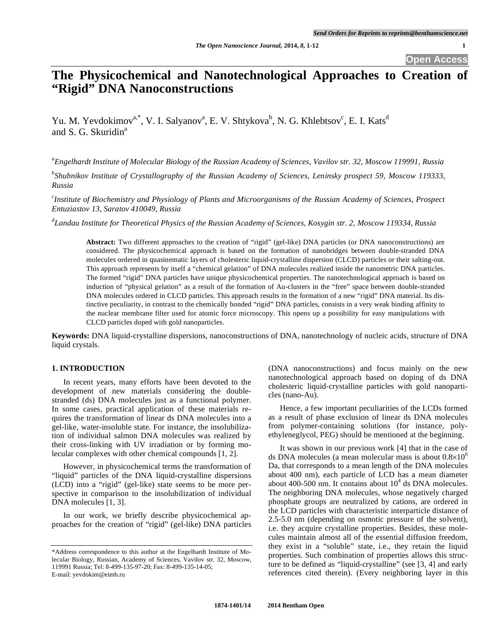# **The Physicochemical and Nanotechnological Approaches to Creation of "Rigid" DNA Nanoconstructions**

Yu. M. Yevdokimov<sup>a,\*</sup>, V. I. Salyanov<sup>a</sup>, E. V. Shtykova<sup>b</sup>, N. G. Khlebtsov<sup>c</sup>, E. I. Kats<sup>d</sup> and S. G. Skuridin<sup>a</sup>

*a Engelhardt Institute of Molecular Biology of the Russian Academy of Sciences, Vavilov str. 32, Moscow 119991, Russia* 

*b Shubnikov Institute of Crystallography of the Russian Academy of Sciences, Leninsky prospect 59, Moscow 119333, Russia* 

*c Institute of Biochemistry and Physiology of Plants and Microorganisms of the Russian Academy of Sciences, Prospect Entuziastov 13, Saratov 410049, Russia* 

*d Landau Institute for Theoretical Physics of the Russian Academy of Sciences, Kosygin str. 2, Moscow 119334, Russia* 

**Abstract:** Two different approaches to the creation of "rigid" (gel-like) DNA particles (or DNA nanoconstructions) are considered. The physicochemical approach is based on the formation of nanobridges between double-stranded DNA molecules ordered in quasinematic layers of cholesteric liquid-crystalline dispersion (CLCD) particles or their salting-out. This approach represents by itself a "chemical gelation" of DNA molecules realized inside the nanometric DNA particles. The formed "rigid" DNA particles have unique physicochemical properties. The nanotechnological approach is based on induction of "physical gelation" as a result of the formation of Au-clusters in the "free" space between double-stranded DNA molecules ordered in CLCD particles. This approach results in the formation of a new "rigid" DNA material. Its distinctive peculiarity, in contrast to the chemically bonded "rigid" DNA particles, consists in a very weak binding affinity to the nuclear membrane filter used for atomic force microscopy. This opens up a possibility for easy manipulations with CLCD particles doped with gold nanoparticles.

**Keywords:** DNA liquid-crystalline dispersions, nanoconstructions of DNA, nanotechnology of nucleic acids, structure of DNA liquid crystals.

#### **1. INTRODUCTION**

In recent years, many efforts have been devoted to the development of new materials considering the doublestranded (ds) DNA molecules just as a functional polymer. In some cases, practical application of these materials requires the transformation of linear ds DNA molecules into a gel-like, water-insoluble state. For instance, the insolubilization of individual salmon DNA molecules was realized by their cross-linking with UV irradiation or by forming molecular complexes with other chemical compounds [1, 2].

However, in physicochemical terms the transformation of "liquid" particles of the DNA liquid-crystalline dispersions (LCD) into a "rigid" (gel-like) state seems to be more perspective in comparison to the insolubilization of individual DNA molecules [1, 3].

In our work, we briefly describe physicochemical approaches for the creation of "rigid" (gel-like) DNA particles (DNA nanoconstructions) and focus mainly on the new nanotechnological approach based on doping of ds DNA cholesteric liquid-crystalline particles with gold nanoparticles (nano-Au).

Hence, a few important peculiarities of the LCDs formed as a result of phase exclusion of linear ds DNA molecules from polymer-containing solutions (for instance, polyethyleneglycol, PEG) should be mentioned at the beginning.

It was shown in our previous work [4] that in the case of ds DNA molecules (a mean molecular mass is about  $0.8\times10^{6}$ Da, that corresponds to a mean length of the DNA molecules about 400 nm), each particle of LCD has a mean diameter about 400-500 nm. It contains about  $10^4$  ds DNA molecules. The neighboring DNA molecules, whose negatively charged phosphate groups are neutralized by cations, are ordered in the LCD particles with characteristic interparticle distance of 2.5-5.0 nm (depending on osmotic pressure of the solvent), i.e. they acquire crystalline properties. Besides, these molecules maintain almost all of the essential diffusion freedom, they exist in a "soluble" state, i.e., they retain the liquid properties. Such combination of properties allows this structure to be defined as "liquid-crystalline" (see [3, 4] and early references cited therein). (Every neighboring layer in this

<sup>\*</sup>Address correspondence to this author at the Engelhardt Institute of Molecular Biology, Russian, Academy of Sciences, Vavilov str. 32, Moscow, 119991 Russia; Tel: 8-499-135-97-20; Fax: 8-499-135-14-05; E-mail: yevdokim@eimb.ru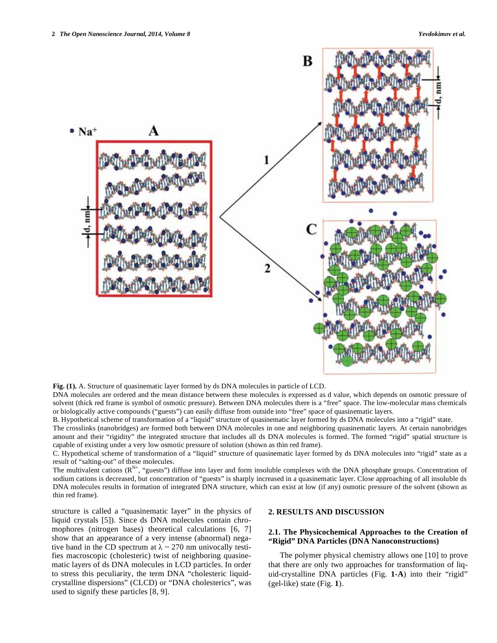

**Fig. (1).** A. Structure of quasinematic layer formed by ds DNA molecules in particle of LCD.

DNA molecules are ordered and the mean distance between these molecules is expressed as d value, which depends on osmotic pressure of solvent (thick red frame is symbol of osmotic pressure). Between DNA molecules there is a "free" space. The low-molecular mass chemicals or biologically active compounds ("guests") can easily diffuse from outside into "free" space of quasinematic layers.

B. Hypothetical scheme of transformation of a "liquid" structure of quasinematic layer formed by ds DNA molecules into a "rigid" state.

The crosslinks (nanobridges) are formed both between DNA molecules in one and neighboring quasinematic layers. At certain nanobridges amount and their "rigidity" the integrated structure that includes all ds DNA molecules is formed. The formed "rigid" spatial structure is capable of existing under a very low osmotic pressure of solution (shown as thin red frame).

C. Hypothetical scheme of transformation of a "liquid" structure of quasinematic layer formed by ds DNA molecules into "rigid" state as a result of "salting-out" of these molecules.

The multivalent cations  $(R^{N+},$  "guests") diffuse into layer and form insoluble complexes with the DNA phosphate groups. Concentration of sodium cations is decreased, but concentration of "guests" is sharply increased in a quasinematic layer. Close approaching of all insoluble ds DNA molecules results in formation of integrated DNA structure, which can exist at low (if any) osmotic pressure of the solvent (shown as thin red frame).

structure is called a "quasinematic layer" in the physics of liquid crystals [5]). Since ds DNA molecules contain chromophores (nitrogen bases) theoretical calculations [6, 7] show that an appearance of a very intense (abnormal) negative band in the CD spectrum at  $\lambda \sim 270$  nm univocally testifies macroscopic (cholesteric) twist of neighboring quasinematic layers of ds DNA molecules in LCD particles. In order to stress this peculiarity, the term DNA "cholesteric liquidcrystalline dispersions" (CLCD) or "DNA cholesterics", was used to signify these particles [8, 9].

#### **2. RESULTS AND DISCUSSION**

## **2.1. The Physicochemical Approaches to the Creation of "Rigid" DNA Particles (DNA Nanoconstructions)**

The polymer physical chemistry allows one [10] to prove that there are only two approaches for transformation of liquid-crystalline DNA particles (Fig. **1-A**) into their "rigid" (gel-like) state (Fig. **1**).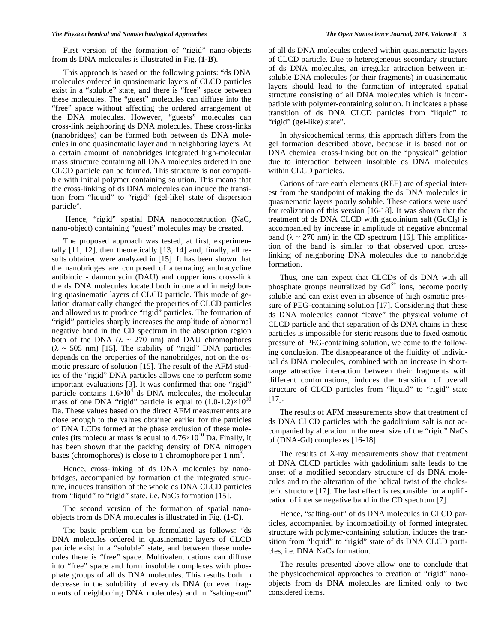First version of the formation of "rigid" nano-objects from ds DNA molecules is illustrated in Fig. (**1-B**).

This approach is based on the following points: "ds DNA molecules ordered in quasinematic layers of CLCD particles exist in a "soluble" state, and there is "free" space between these molecules. The "guest" molecules can diffuse into the "free" space without affecting the ordered arrangement of the DNA molecules. However, "guests" molecules can cross-link neighboring ds DNA molecules. These cross-links (nanobridges) can be formed both between ds DNA molecules in one quasinematic layer and in neighboring layers. At a certain amount of nanobridges integrated high-molecular mass structure containing all DNA molecules ordered in one CLCD particle can be formed. This structure is not compatible with initial polymer containing solution. This means that the cross-linking of ds DNA molecules can induce the transition from "liquid" to "rigid" (gel-like) state of dispersion particle".

 Hence, "rigid" spatial DNA nanoconstruction (NaC, nano-object) containing "guest" molecules may be created.

The proposed approach was tested, at first, experimentally [11, 12], then theoretically [13, 14] and, finally, all results obtained were analyzed in [15]. It has been shown that the nanobridges are composed of alternating anthracycline antibiotic - daunomycin (DAU) and copper ions cross-link the ds DNA molecules located both in one and in neighboring quasinematic layers of CLCD particle. This mode of gelation dramatically changed the properties of CLCD particles and allowed us to produce "rigid" particles. The formation of "rigid" particles sharply increases the amplitude of abnormal negative band in the CD spectrum in the absorption region both of the DNA  $(\lambda \sim 270 \text{ nm})$  and DAU chromophores  $(\lambda \sim 505 \text{ nm})$  [15]. The stability of "rigid" DNA particles depends on the properties of the nanobridges, not on the osmotic pressure of solution [15]. The result of the AFM studies of the "rigid" DNA particles allows one to perform some important evaluations [3]. It was confirmed that one "rigid" particle contains  $1.6 \times 10^4$  ds DNA molecules, the molecular mass of one DNA "rigid" particle is equal to  $(1.0-1.2)\times10^{10}$ Da. These values based on the direct AFM measurements are close enough to the values obtained earlier for the particles of DNA LCDs formed at the phase exclusion of these molecules (its molecular mass is equal to  $4.76\times10^{10}$  Da. Finally, it has been shown that the packing density of DNA nitrogen bases (chromophores) is close to 1 chromophore per 1 nm<sup>3</sup>.

Hence, cross-linking of ds DNA molecules by nanobridges, accompanied by formation of the integrated structure, induces transition of the whole ds DNA CLCD particles from "liquid" to "rigid" state, i.e. NaCs formation [15].

The second version of the formation of spatial nanoobjects from ds DNA molecules is illustrated in Fig. (**1-C**).

The basic problem can be formulated as follows: "ds DNA molecules ordered in quasinematic layers of CLCD particle exist in a "soluble" state, and between these molecules there is "free" space. Multivalent cations can diffuse into "free" space and form insoluble complexes with phosphate groups of all ds DNA molecules. This results both in decrease in the solubility of every ds DNA (or even fragments of neighboring DNA molecules) and in "salting-out"

of all ds DNA molecules ordered within quasinematic layers of CLCD particle. Due to heterogeneous secondary structure of ds DNA molecules, an irregular attraction between insoluble DNA molecules (or their fragments) in quasinematic layers should lead to the formation of integrated spatial structure consisting of all DNA molecules which is incompatible with polymer-containing solution. It indicates a phase transition of ds DNA CLCD particles from "liquid" to "rigid" (gel-like) state".

In physicochemical terms, this approach differs from the gel formation described above, because it is based not on DNA chemical cross-linking but on the "physical" gelation due to interaction between insoluble ds DNA molecules within CLCD particles.

Cations of rare earth elements (REE) are of special interest from the standpoint of making the ds DNA molecules in quasinematic layers poorly soluble. These cations were used for realization of this version [16-18]. It was shown that the treatment of ds DNA CLCD with gadolinium salt  $(GdCl<sub>3</sub>)$  is accompanied by increase in amplitude of negative abnormal band ( $\lambda \sim 270$  nm) in the CD spectrum [16]. This amplification of the band is similar to that observed upon crosslinking of neighboring DNA molecules due to nanobridge formation.

Thus, one can expect that CLCDs of ds DNA with all phosphate groups neutralized by  $Gd^{3+}$  ions, become poorly soluble and can exist even in absence of high osmotic pressure of PEG-containing solution [17]. Considering that these ds DNA molecules cannot "leave" the physical volume of CLCD particle and that separation of ds DNA chains in these particles is impossible for steric reasons due to fixed osmotic pressure of PEG-containing solution, we come to the following conclusion. The disappearance of the fluidity of individual ds DNA molecules, combined with an increase in shortrange attractive interaction between their fragments with different conformations, induces the transition of overall structure of CLCD particles from "liquid" to "rigid" state [17].

The results of AFM measurements show that treatment of ds DNA CLCD particles with the gadolinium salt is not accompanied by alteration in the mean size of the "rigid" NaCs of (DNA-Gd) complexes [16-18].

The results of X-ray measurements show that treatment of DNA CLCD particles with gadolinium salts leads to the onset of a modified secondary structure of ds DNA molecules and to the alteration of the helical twist of the cholesteric structure [17]. The last effect is responsible for amplification of intense negative band in the CD spectrum [7].

Hence, "salting-out" of ds DNA molecules in CLCD particles, accompanied by incompatibility of formed integrated structure with polymer-containing solution, induces the transition from "liquid" to "rigid" state of ds DNA CLCD particles, i.e. DNA NaCs formation.

The results presented above allow one to conclude that the physicochemical approaches to creation of "rigid" nanoobjects from ds DNA molecules are limited only to two considered items.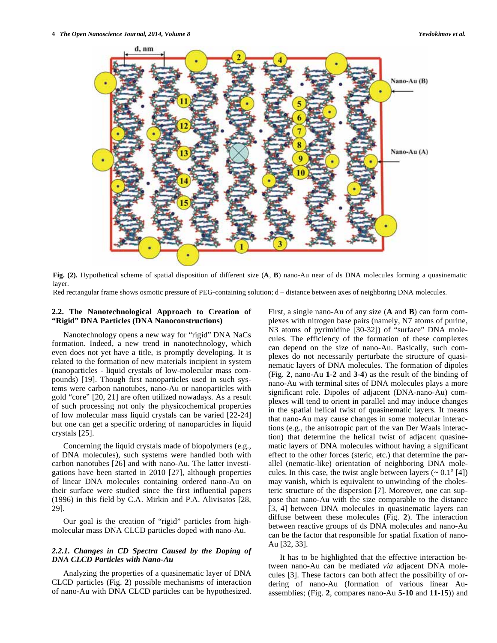

**Fig. (2).** Hypothetical scheme of spatial disposition of different size (**A**, **B**) nano-Au near of ds DNA molecules forming a quasinematic layer.

Red rectangular frame shows osmotic pressure of PEG-containing solution; d – distance between axes of neighboring DNA molecules.

# **2.2. The Nanotechnological Approach to Creation of "Rigid" DNA Particles (DNA Nanoconstructions)**

Nanotechnology opens a new way for "rigid" DNA NaCs formation. Indeed, a new trend in nanotechnology, which even does not yet have a title, is promptly developing. It is related to the formation of new materials incipient in system (nanoparticles - liquid crystals of low-molecular mass compounds) [19]. Though first nanoparticles used in such systems were carbon nanotubes, nano-Au or nanoparticles with gold "core" [20, 21] are often utilized nowadays. As a result of such processing not only the physicochemical properties of low molecular mass liquid crystals can be varied [22-24] but one can get a specific ordering of nanoparticles in liquid crystals [25].

Concerning the liquid crystals made of biopolymers (e.g., of DNA molecules), such systems were handled both with carbon nanotubes [26] and with nano-Au. The latter investigations have been started in 2010 [27], although properties of linear DNA molecules containing ordered nano-Au on their surface were studied since the first influential papers (1996) in this field by C.A. Mirkin and P.A. Alivisatos [28, 29].

Our goal is the creation of "rigid" particles from highmolecular mass DNA CLCD particles doped with nano-Au.

## *2.2.1. Changes in CD Spectra Caused by the Doping of DNA CLCD Particles with Nano-Au*

Analyzing the properties of a quasinematic layer of DNA CLCD particles (Fig. **2**) possible mechanisms of interaction of nano-Au with DNA CLCD particles can be hypothesized.

First, a single nano-Au of any size (**A** and **B**) can form complexes with nitrogen base pairs (namely, N7 atoms of purine, N3 atoms of pyrimidine [30-32]) of "surface" DNA molecules. The efficiency of the formation of these complexes can depend on the size of nano-Au. Basically, such complexes do not necessarily perturbate the structure of quasinematic layers of DNA molecules. The formation of dipoles (Fig. **2**, nano-Au **1**-**2** and **3**-**4**) as the result of the binding of nano-Au with terminal sites of DNA molecules plays a more significant role. Dipoles of adjacent (DNA-nano-Au) complexes will tend to orient in parallel and may induce changes in the spatial helical twist of quasinematic layers. It means that nano-Au may cause changes in some molecular interactions (e.g., the anisotropic part of the van Der Waals interaction) that determine the helical twist of adjacent quasinematic layers of DNA molecules without having a significant effect to the other forces (steric, etc.) that determine the parallel (nematic-like) orientation of neighboring DNA molecules. In this case, the twist angle between layers  $({\sim 0.1}^{\circ}$  [4]) may vanish, which is equivalent to unwinding of the cholesteric structure of the dispersion [7]. Moreover, one can suppose that nano-Au with the size comparable to the distance [3, 4] between DNA molecules in quasinematic layers can diffuse between these molecules (Fig. **2**). The interaction between reactive groups of ds DNA molecules and nano-Au can be the factor that responsible for spatial fixation of nano-Au [32, 33].

It has to be highlighted that the effective interaction between nano-Au can be mediated *via* adjacent DNA molecules [3]. These factors can both affect the possibility of ordering of nano-Au (formation of various linear Auassemblies; (Fig. **2**, compares nano-Au **5-10** and **11-15**)) and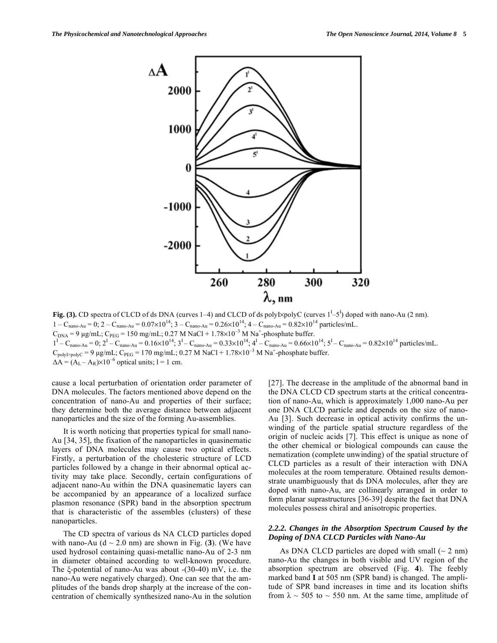

**Fig. (3).** CD spectra of CLCD of ds DNA (curves 1–4) and CLCD of ds polyl $\times$ polyC (curves  $1^L$ –5<sup>1</sup>) doped with nano-Au (2 nm).  $1 - C_{\text{nano-Au}} = 0$ ;  $2 - C_{\text{nano-Au}} = 0.07 \times 10^{14}$ ;  $3 - C_{\text{nano-Au}} = 0.26 \times 10^{14}$ ;  $4 - C_{\text{nano-Au}} = 0.82 \times 10^{14}$  particles/mL.  $C_{DNA}$  = 9 μg/mL;  $C_{PEG}$  = 150 mg/mL; 0.27 M NaCl + 1.78×10<sup>-3</sup> M Na<sup>+</sup>-phosphate buffer.  $1^{\text{I}} - C_{\text{nano-Au}} = 0; 2^{\text{I}} - C_{\text{nano-Au}} = 0.16 \times 10^{14}; 3^{\text{I}} - C_{\text{nano-Au}} = 0.33 \times 10^{14}; 4^{\text{I}} - C_{\text{nano-Au}} = 0.66 \times 10^{14}; 5^{\text{I}} - C_{\text{nano-Au}} = 0.82 \times 10^{14} \text{ particles/mL}.$  $C_{\text{polyI} \times \text{polyC}} = 9 \text{ µg/mL}$ ; C<sub>PEG</sub> = 170 mg/mL; 0.27 M NaCl + 1.78×10<sup>-3</sup> M Na<sup>+</sup>-phosphate buffer.  $\Delta A = (A_L - A_R) \times 10^{-6}$  optical units; 1 = 1 cm.

cause a local perturbation of orientation order parameter of DNA molecules. The factors mentioned above depend on the concentration of nano-Au and properties of their surface; they determine both the average distance between adjacent nanoparticles and the size of the forming Au-assemblies.

It is worth noticing that properties typical for small nano-Au [34, 35], the fixation of the nanoparticles in quasinematic layers of DNA molecules may cause two optical effects. Firstly, a perturbation of the cholesteric structure of LCD particles followed by a change in their abnormal optical activity may take place. Secondly, certain configurations of adjacent nano-Au within the DNA quasinematic layers can be accompanied by an appearance of a localized surface plasmon resonance (SPR) band in the absorption spectrum that is characteristic of the assembles (clusters) of these nanoparticles.

The CD spectra of various ds NA CLCD particles doped with nano-Au  $(d \sim 2.0 \text{ nm})$  are shown in Fig. (3). (We have used hydrosol containing quasi-metallic nano-Au of 2-3 nm in diameter obtained according to well-known procedure. The  $\xi$ -potential of nano-Au was about  $-(30-40)$  mV, i.e. the nano-Au were negatively charged). One can see that the amplitudes of the bands drop sharply at the increase of the concentration of chemically synthesized nano-Au in the solution [27]. The decrease in the amplitude of the abnormal band in the DNA CLCD CD spectrum starts at the critical concentration of nano-Au, which is approximately 1,000 nano-Au per one DNA CLCD particle and depends on the size of nano-Au [3]. Such decrease in optical activity confirms the unwinding of the particle spatial structure regardless of the origin of nucleic acids [7]. This effect is unique as none of the other chemical or biological compounds can cause the nematization (complete unwinding) of the spatial structure of CLCD particles as a result of their interaction with DNA molecules at the room temperature. Obtained results demonstrate unambiguously that ds DNA molecules, after they are doped with nano-Au, are collinearly arranged in order to form planar suprastructures [36-39] despite the fact that DNA molecules possess chiral and anisotropic properties.

### *2.2.2. Changes in the Absorption Spectrum Caused by the Doping of DNA CLCD Particles with Nano-Au*

As DNA CLCD particles are doped with small  $(2 \text{ nm})$ nano-Au the changes in both visible and UV region of the absorption spectrum are observed (Fig. **4**). The feebly marked band **I** at 505 nm (SPR band) is changed. The amplitude of SPR band increases in time and its location shifts from  $\lambda \sim 505$  to  $\sim 550$  nm. At the same time, amplitude of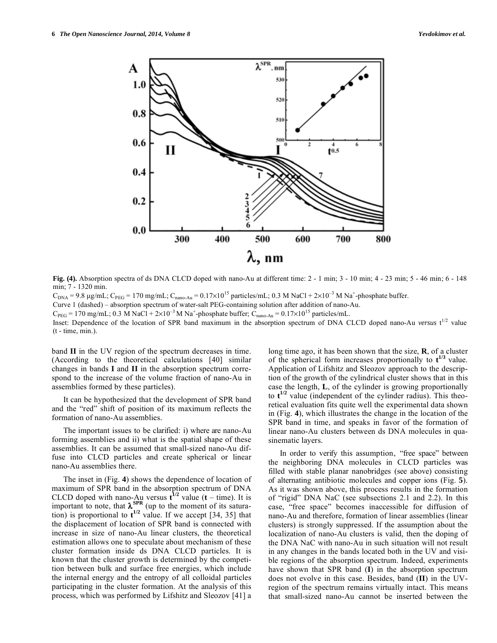

**Fig. (4).** Absorption spectra of ds DNA CLCD doped with nano-Au at different time: 2 - 1 min; 3 - 10 min; 4 - 23 min; 5 - 46 min; 6 - 148 min; 7 - 1320 min.

 $C_{DNA}$  = 9.8 μg/mL;  $C_{PEG}$  = 170 mg/mL;  $C_{nano-Au}$  = 0.17×10<sup>15</sup> particles/mL; 0.3 M NaCl + 2×10<sup>-3</sup> M Na<sup>+</sup>-phosphate buffer.

Curve 1 (dashed) – absorption spectrum of water-salt PEG-containing solution after addition of nano-Au.

 $C_{\text{PEG}} = 170 \text{ mg/mL}$ ; 0.3 M NaCl + 2×10<sup>-3</sup> M Na<sup>+</sup>-phosphate buffer;  $C_{\text{nano-Au}} = 0.17 \times 10^{15} \text{ particles/mL}$ .

Inset: Dependence of the location of SPR band maximum in the absorption spectrum of DNA CLCD doped nano-Au *versus*  $t^{1/2}$  value (t - time, min.).

band **II** in the UV region of the spectrum decreases in time. (According to the theoretical calculations [40] similar changes in bands **I** and **II** in the absorption spectrum correspond to the increase of the volume fraction of nano-Au in assemblies formed by these particles).

It can be hypothesized that the development of SPR band and the "red" shift of position of its maximum reflects the formation of nano-Au assemblies.

The important issues to be clarified: i) where are nano-Au forming assemblies and ii) what is the spatial shape of these assemblies. It can be assumed that small-sized nano-Au diffuse into CLCD particles and create spherical or linear nano-Au assemblies there.

The inset in (Fig. **4**) shows the dependence of location of maximum of SPR band in the absorption spectrum of DNA CLCD doped with nano-Au versus  $t^{1/2}$  value ( $t$  – time). It is important to note, that  $\lambda^{\text{SPR}}$  (up to the moment of its saturation) is proportional to  $t^{1/2}$  value. If we accept [34, 35] that the displacement of location of SPR band is connected with increase in size of nano-Au linear clusters, the theoretical estimation allows one to speculate about mechanism of these cluster formation inside ds DNA CLCD particles. It is known that the cluster growth is determined by the competition between bulk and surface free energies, which include the internal energy and the entropy of all colloidal particles participating in the cluster formation. At the analysis of this process, which was performed by Lifshitz and Sleozov [41] a

long time ago, it has been shown that the size, **R**, of a cluster of the spherical form increases proportionally to  $t^{1/3}$  value. Application of Lifshitz and Sleozov approach to the description of the growth of the cylindrical cluster shows that in this case the length, **L**, of the cylinder is growing proportionally to  $t^{1/2}$  value (independent of the cylinder radius). This theoretical evaluation fits quite well the experimental data shown in (Fig. **4**), which illustrates the change in the location of the SPR band in time, and speaks in favor of the formation of linear nano-Au clusters between ds DNA molecules in quasinematic layers.

In order to verify this assumption, "free space" between the neighboring DNA molecules in CLCD particles was filled with stable planar nanobridges (see above) consisting of alternating antibiotic molecules and copper ions (Fig. **5**). As it was shown above, this process results in the formation of "rigid" DNA NaC (see subsections 2.1 and 2.2). In this case, "free space" becomes inaccessible for diffusion of nano-Au and therefore, formation of linear assemblies (linear clusters) is strongly suppressed. If the assumption about the localization of nano-Au clusters is valid, then the doping of the DNA NaC with nano-Au in such situation will not result in any changes in the bands located both in the UV and visible regions of the absorption spectrum. Indeed, experiments have shown that SPR band (**I**) in the absorption spectrum does not evolve in this case. Besides, band (**II**) in the UVregion of the spectrum remains virtually intact. This means that small-sized nano-Au cannot be inserted between the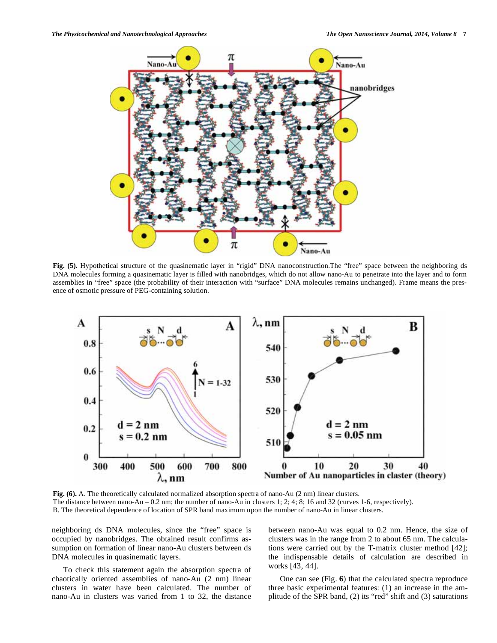![](_page_6_Figure_2.jpeg)

Fig. (5). Hypothetical structure of the quasinematic layer in "rigid" DNA nanoconstruction.The "free" space between the neighboring ds DNA molecules forming a quasinematic layer is filled with nanobridges, which do not allow nano-Au to penetrate into the layer and to form assemblies in "free" space (the probability of their interaction with "surface" DNA molecules remains unchanged). Frame means the presence of osmotic pressure of PEG-containing solution.

![](_page_6_Figure_4.jpeg)

**Fig. (6).** A. The theoretically calculated normalized absorption spectra of nano-Au (2 nm) linear clusters. The distance between nano-Au – 0.2 nm; the number of nano-Au in clusters 1; 2; 4; 8; 16 and 32 (curves 1-6, respectively). B. The theoretical dependence of location of SPR band maximum upon the number of nano-Au in linear clusters.

neighboring ds DNA molecules, since the "free" space is occupied by nanobridges. The obtained result confirms assumption on formation of linear nano-Au clusters between ds DNA molecules in quasinematic layers.

To check this statement again the absorption spectra of chaotically oriented assemblies of nano-Au (2 nm) linear clusters in water have been calculated. The number of nano-Au in clusters was varied from 1 to 32, the distance

between nano-Au was equal to 0.2 nm. Hence, the size of clusters was in the range from 2 to about 65 nm. The calculations were carried out by the T-matrix cluster method [42]; the indispensable details of calculation are described in works [43, 44].

One can see (Fig. **6**) that the calculated spectra reproduce three basic experimental features: (1) an increase in the amplitude of the SPR band, (2) its "red" shift and (3) saturations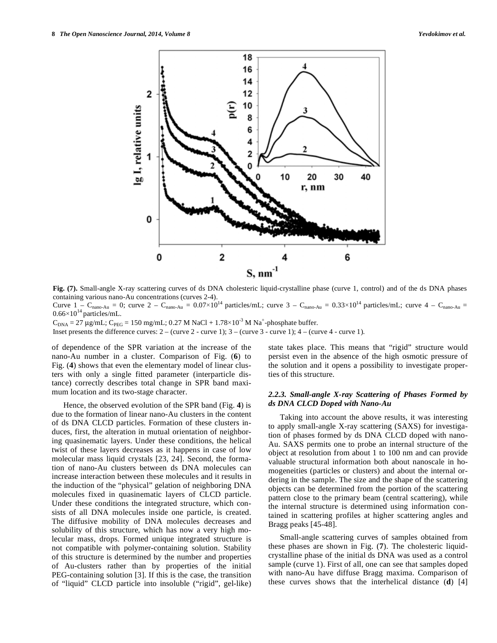![](_page_7_Figure_2.jpeg)

**Fig. (7).** Small-angle X-ray scattering curves of ds DNA cholesteric liquid-crystalline phase (curve 1, control) and of the ds DNA phases containing various nano-Au concentrations (curves 2-4).

Curve  $1 - C_{\text{nano-Au}} = 0$ ; curve  $2 - C_{\text{nano-Au}} = 0.07 \times 10^{14}$  particles/mL; curve  $3 - C_{\text{nano-Au}} = 0.33 \times 10^{14}$  particles/mL; curve  $4 - C_{\text{nano-Au}} = 0$  $0.66\times10^{14}$  particles/mL.

 $C_{DNA} = 27 \mu g/mL$ ; C<sub>PEG</sub> = 150 mg/mL; 0.27 M NaCl + 1.78×10<sup>-3</sup> M Na<sup>+</sup>-phosphate buffer.

Inset presents the difference curves:  $2 -$  (curve  $2 -$  curve 1);  $3 -$  (curve  $3 -$  curve 1);  $4 -$  (curve  $4 -$  curve 1).

of dependence of the SPR variation at the increase of the nano-Au number in a cluster. Comparison of Fig. (**6**) to Fig. (**4**) shows that even the elementary model of linear clusters with only a single fitted parameter (interparticle distance) correctly describes total change in SPR band maximum location and its two-stage character.

Hence, the observed evolution of the SPR band (Fig. **4**) is due to the formation of linear nano-Au clusters in the content of ds DNA CLCD particles. Formation of these clusters induces, first, the alteration in mutual orientation of neighboring quasinematic layers. Under these conditions, the helical twist of these layers decreases as it happens in case of low molecular mass liquid crystals [23, 24]. Second, the formation of nano-Au clusters between ds DNA molecules can increase interaction between these molecules and it results in the induction of the "physical" gelation of neighboring DNA molecules fixed in quasinematic layers of CLCD particle. Under these conditions the integrated structure, which consists of all DNA molecules inside one particle, is created. The diffusive mobility of DNA molecules decreases and solubility of this structure, which has now a very high molecular mass, drops. Formed unique integrated structure is not compatible with polymer-containing solution. Stability of this structure is determined by the number and properties of Au-clusters rather than by properties of the initial PEG-containing solution [3]. If this is the case, the transition of "liquid" CLCD particle into insoluble ("rigid", gel-like) state takes place. This means that "rigid" structure would persist even in the absence of the high osmotic pressure of the solution and it opens a possibility to investigate properties of this structure.

## *2.2.3. Small-angle X-ray Scattering of Phases Formed by ds DNA CLCD Doped with Nano-Au*

Taking into account the above results, it was interesting to apply small-angle X-ray scattering (SAXS) for investigation of phases formed by ds DNA CLCD doped with nano-Au. SAXS permits one to probe an internal structure of the object at resolution from about 1 to 100 nm and can provide valuable structural information both about nanoscale in homogeneities (particles or clusters) and about the internal ordering in the sample. The size and the shape of the scattering objects can be determined from the portion of the scattering pattern close to the primary beam (central scattering), while the internal structure is determined using information contained in scattering profiles at higher scattering angles and Bragg peaks [45-48].

Small-angle scattering curves of samples obtained from these phases are shown in Fig. (**7**). The cholesteric liquidcrystalline phase of the initial ds DNA was used as a control sample (curve 1). First of all, one can see that samples doped with nano-Au have diffuse Bragg maxima. Comparison of these curves shows that the interhelical distance (**d**) [4]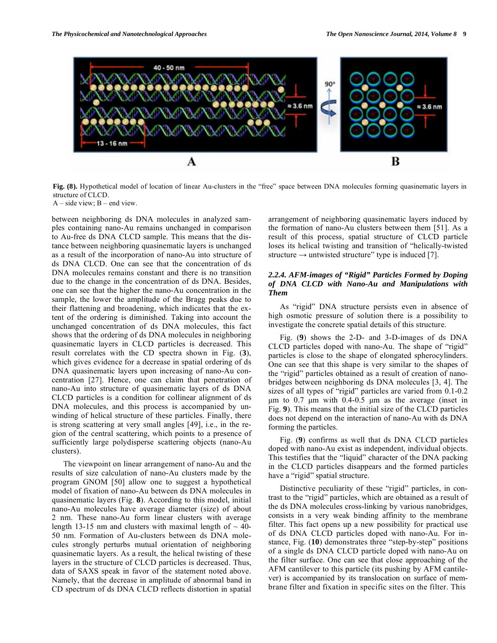![](_page_8_Figure_2.jpeg)

**Fig. (8).** Hypothetical model of location of linear Au-clusters in the "free" space between DNA molecules forming quasinematic layers in structure of CLCD.

 $A - side$  view;  $B - end$  view.

between neighboring ds DNA molecules in analyzed samples containing nano-Au remains unchanged in comparison to Au-free ds DNA CLCD sample. This means that the distance between neighboring quasinematic layers is unchanged as a result of the incorporation of nano-Au into structure of ds DNA CLCD. One can see that the concentration of ds DNA molecules remains constant and there is no transition due to the change in the concentration of ds DNA. Besides, one can see that the higher the nano-Au concentration in the sample, the lower the amplitude of the Bragg peaks due to their flattening and broadening, which indicates that the extent of the ordering is diminished. Taking into account the unchanged concentration of ds DNA molecules, this fact shows that the ordering of ds DNA molecules in neighboring quasinematic layers in CLCD particles is decreased. This result correlates with the CD spectra shown in Fig. (**3**), which gives evidence for a decrease in spatial ordering of ds DNA quasinematic layers upon increasing of nano-Au concentration [27]. Hence, one can claim that penetration of nano-Au into structure of quasinematic layers of ds DNA CLCD particles is a condition for collinear alignment of ds DNA molecules, and this process is accompanied by unwinding of helical structure of these particles. Finally, there is strong scattering at very small angles [49], i.e., in the region of the central scattering, which points to a presence of sufficiently large polydisperse scattering objects (nano-Au clusters).

The viewpoint on linear arrangement of nano-Au and the results of size calculation of nano-Au clusters made by the program GNOM [50] allow one to suggest a hypothetical model of fixation of nano-Au between ds DNA molecules in quasinematic layers (Fig. **8**). According to this model, initial nano-Au molecules have average diameter (size) of about 2 nm. These nano-Au form linear clusters with average length 13-15 nm and clusters with maximal length of  $\sim$  40-50 nm. Formation of Au-clusters between ds DNA molecules strongly perturbs mutual orientation of neighboring quasinematic layers. As a result, the helical twisting of these layers in the structure of CLCD particles is decreased. Thus, data of SAXS speak in favor of the statement noted above. Namely, that the decrease in amplitude of abnormal band in CD spectrum of ds DNA CLCD reflects distortion in spatial

arrangement of neighboring quasinematic layers induced by the formation of nano-Au clusters between them [51]. As a result of this process, spatial structure of CLCD particle loses its helical twisting and transition of "helically-twisted structure  $\rightarrow$  untwisted structure" type is induced [7].

# *2.2.4. AFM-images of "Rigid" Particles Formed by Doping of DNA CLCD with Nano-Au and Manipulations with Them*

As "rigid" DNA structure persists even in absence of high osmotic pressure of solution there is a possibility to investigate the concrete spatial details of this structure.

Fig. (**9**) shows the 2-D- and 3-D-images of ds DNA CLCD particles doped with nano-Au. The shape of "rigid" particles is close to the shape of elongated spherocylinders. One can see that this shape is very similar to the shapes of the "rigid" particles obtained as a result of creation of nanobridges between neighboring ds DNA molecules [3, 4]. The sizes of all types of "rigid" particles are varied from 0.1-0.2 μm to 0.7 μm with  $0.4$ -0.5 μm as the average (inset in Fig. **9**). This means that the initial size of the CLCD particles does not depend on the interaction of nano-Au with ds DNA forming the particles.

Fig. (**9**) confirms as well that ds DNA CLCD particles doped with nano-Au exist as independent, individual objects. This testifies that the "liquid" character of the DNA packing in the CLCD particles disappears and the formed particles have a "rigid" spatial structure.

Distinctive peculiarity of these "rigid" particles, in contrast to the "rigid" particles, which are obtained as a result of the ds DNA molecules cross-linking by various nanobridges, consists in a very weak binding affinity to the membrane filter. This fact opens up a new possibility for practical use of ds DNA CLCD particles doped with nano-Au. For instance, Fig. (**10**) demonstrates three "step-by-step" positions of a single ds DNA CLCD particle doped with nano-Au on the filter surface. One can see that close approaching of the AFM cantilever to this particle (its pushing by AFM cantilever) is accompanied by its translocation on surface of membrane filter and fixation in specific sites on the filter. This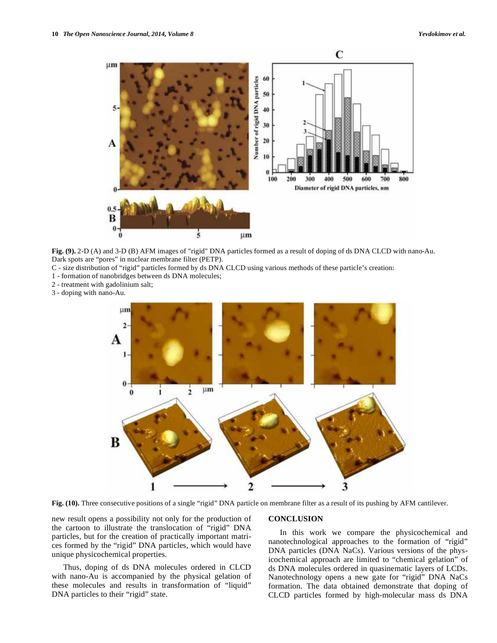![](_page_9_Figure_2.jpeg)

**Fig. (9).** 2-D (A) and 3-D (B) AFM images of "rigid" DNA particles formed as a result of doping of ds DNA CLCD with nano-Au. Dark spots are "pores" in nuclear membrane filter (PETP).

- C size distribution of "rigid" particles formed by ds DNA CLCD using various methods of these particle's creation:
- 1 formation of nanobridges between ds DNA molecules;
- 2 treatment with gadolinium salt;
- 3 doping with nano-Au.

![](_page_9_Figure_8.jpeg)

**Fig. (10).** Three consecutive positions of a single "rigid" DNA particle on membrane filter as a result of its pushing by AFM cantilever.

new result opens a possibility not only for the production of the cartoon to illustrate the translocation of "rigid" DNA particles, but for the creation of practically important matrices formed by the "rigid" DNA particles, which would have unique physicochemical properties.

Thus, doping of ds DNA molecules ordered in CLCD with nano-Au is accompanied by the physical gelation of these molecules and results in transformation of "liquid" DNA particles to their "rigid" state.

#### **CONCLUSION**

In this work we compare the physicochemical and nanotechnological approaches to the formation of "rigid" DNA particles (DNA NaCs). Various versions of the physicochemical approach are limited to "chemical gelation" of ds DNA molecules ordered in quasinematic layers of LCDs. Nanotechnology opens a new gate for "rigid" DNA NaCs formation. The data obtained demonstrate that doping of CLCD particles formed by high-molecular mass ds DNA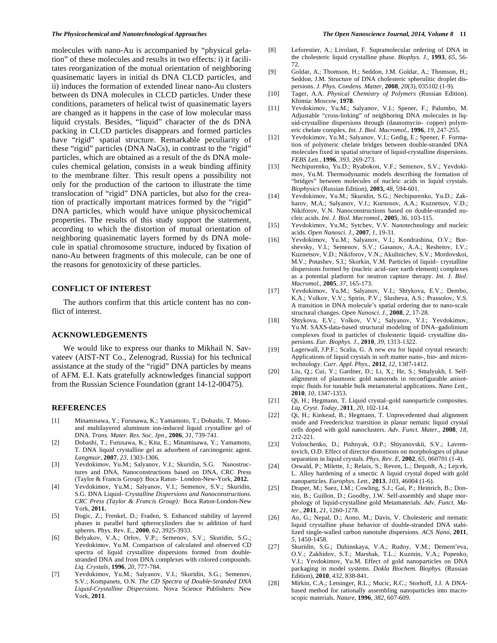molecules with nano-Au is accompanied by "physical gelation" of these molecules and results in two effects: i) it facilitates reorganization of the mutual orientation of neighboring quasinematic layers in initial ds DNA CLCD particles, and ii) induces the formation of extended linear nano-Au clusters between ds DNA molecules in CLCD particles. Under these conditions, parameters of helical twist of quasinematic layers are changed as it happens in the case of low molecular mass liquid crystals. Besides, "liquid" character of the ds DNA packing in CLCD particles disappears and formed particles have "rigid" spatial structure. Remarkable peculiarity of these "rigid" particles (DNA NaCs), in contrast to the "rigid" particles, which are obtained as a result of the ds DNA molecules chemical gelation, consists in a weak binding affinity to the membrane filter. This result opens a possibility not only for the production of the cartoon to illustrate the time translocation of "rigid" DNA particles, but also for the creation of practically important matrices formed by the "rigid" DNA particles, which would have unique physicochemical properties. The results of this study support the statement, according to which the distortion of mutual orientation of neighboring quasinematic layers formed by ds DNA molecule in spatial chromosome structure, induced by fixation of nano-Au between fragments of this molecule, can be one of the reasons for genotoxicity of these particles.

# **CONFLICT OF INTEREST**

The authors confirm that this article content has no conflict of interest.

#### **ACKNOWLEDGEMENTS**

We would like to express our thanks to Mikhail N. Savvateev (AIST-NT Co., Zelenograd, Russia) for his technical assistance at the study of the "rigid" DNA particles by means of AFM. E.I. Kats gratefully acknowledges financial support from the Russian Science Foundation (grant 14-12-00475).

#### **REFERENCES**

- [1] Minamisawa, Y.; Furusawa, K.; Yamamoto, T.; Dobashi, T. Monoand multilayered aluminum ion-induced liquid crystalline gel of DNA. *Trans. Mater. Res. Soc. Jpn*., **2006**, *31,* 739-741.
- [2] Dobashi, T.; Furusawa, K.; Kita, E.; Minamisawa, Y.; Yamamoto, T. DNA liquid crystalline gel as adsorbent of carcinogenic agent. *Langmuir*, **2007**, *23*, 1303-1306.
- [3] Yevdokimov, Yu.M.; Salyanov, V.I.; Skuridin, S.G. Nanostructures and DNA*,* Nanoconstructions based on DNA, CRC Press (Taylor & Francis Group): Boca Raton- London-New-York, **2012.**
- [4] Yevdokimov, Yu.M.; Salyanov, V.I.; Semenov, S.V.; Skuridin, S.G. DNA Liquid- *Crystalline Dispersions and Nanoconstructions. CRC Press (Taylor & Francis Group):* Boca Raton-London-New York, **2011.**
- [5] Dogic, Z.; Frenkel, D.; Fraden, S. Enhanced stability of layered phases in parallel hard spherocylinders due to addition of hard spheres. Phys. Rev. E., **2000**, *62*, 3925-3933.
- [6] Belyakov, V.A.; Orlov, V.P.; Semenov, S.V.; Skuridin, S.G.; Yevdokimov, Yu.M. Comparison of calculated and observed CD spectra of liquid crystalline dispersions formed from doublestranded DNA and from DNA complexes with colored compounds. *Liq. Crystals,* **1996***, 20*, 777-784.
- [7] Yevdokimov, Yu.M.; Salyanov, V.I.; Skuridin, S.G.; Semenov, S.V.; Kompanets, O.N. *The CD Spectra of Double-Stranded DNA Liquid-Crystalline Dispersions.* Nova Science Publishers: New York, **2011**.
- [8] Leforestier, A.; Livolant, F. Supramolecular ordering of DNA in the cholesteric liquid crystalline phase. *Biophys. J.*, **1993**, *65*, 56- 72.
- [9] Goldar, A.; Thomson, H.; Seddon, J.M. Goldar, A.; Thomson, H.; Seddon, J.M. Structure of DNA cholesteric spherulitic droplet dispersions. *J. Phys. Condens. Matter*, **2008**, *20*(3), 035102 (1-9).
- [10] Tager, A.A. *Physical Chemistry of Polymers* (Russian Edition). Khimia: Moscow, **1978**.
- [11] Yevdokimov, Yu.M.; Salyanov, V.I.; Spener, F.; Palumbo, M. Adjustable "cross-linking" of neighboring DNA molecules in liquid-crystalline dispersions through (daunomycin- copper) polymeric chelate complex. *Int. J. Biol. Macromol.*, **1996**, *19*, 247-255.
- [12] Yevdokimov, Yu.M.; Salyanov, V.I.; Gedig, E.; Spener, F. Formation of polymeric chelate bridges between double-stranded DNA molecules fixed in spatial structure of liquid-crystalline dispersions. *FEBS Lett.,* **1996**, *393*, 269-273.
- [13] Nechipurenko, Yu.D.; Ryabokon, V.F.; Semenov, S.V.; Yevdokimov, Yu.M. Thermodynamic models describing the formation of "bridges" between molecules of nucleic acids in liquid crystals. *Biophysics* (Russian Edition), **2003,** *48*, 594-601.
- [14] Yevdokimov, Yu.M.; Skuridin, S.G.; Nechipurenko, Yu.D.; Zakharov, M.A.; Salyanov, V.I.; Kurnosov, A.A.; Kuznetsov, V.D.; Nikiforov, V.N. Nanoconstructions based on double-stranded nucleic acids. *Int. J. Biol. Macromol.*, **2005**, *36,* 103-115.
- [15] Yevdokimov, Yu.M.; Sytchev, V.V. Nanotechnology and nucleic acids. *Open Nanosci. J*., **2007**, *1*, 19-31.
- [16] Yevdokimov, Yu.M.; Salyanov, V.I.; Kondrashina, O.V.; Borshevsky, V.I.; Semenov, S.V.; Gasanov, A.A.; Reshetov, I.V.; Kuznetsov, V.D.; Nikiforov, V.N.; Akulinichev, S.V.; Mordovskoi, M.V.; Potashev, S.I.; Skorkin, V.M. Particles of liquid– crystalline dispersions formed by (nucleic acid–rare earth element) complexes as a potential platform for neutron capture therapy. *Int. J. Biol. Macromol.,* **2005**, *37*, 165-173.
- [17] Yevdokimov, Yu.M.; Salyanov, V.I.; Shtykova, E.V.; Dembo, K.A.; Volkov, V.V.; Spirin, P.V.; Slusheva, A.S.; Prassolov, V.S. A transition in DNA molecule's spatial ordering due to nano-scale structural changes. *Open Nanosci. J.,* **2008**, *2,* 17-28.
- [18] Shtykova, E.V.; Volkov, V.V.; Salyanov, V.I.; Yevdokimov, Yu.M. SAXS-data-based structural modeling of DNA–gadolinium complexes fixed in particles of cholesteric liquid- crystalline dispersions. *Eur. Biophys. J.*, **2010**, *39*, 1313-1322.
- [19] Lagerwall, J.P.F.; Scalia, G. A new era for liquid crystal research: Applications of liquid crystals in soft matter nano-, bio- and microtechnology. *Curr. Appl. Phys.*, **2012**, *12*, 1387-1412.
- [20] Liu, Q.; Cui, Y.; Gardner, D.; Li, X.; He, S.; Smalyukh, I. Selfalignment of plasmonic gold nanorods in reconfigurable anisotropic fluids for tunable bulk metamaterial applications. *Nano Lett.*, **2010**, *10*, 1347-1353.
- [21] Qi, H.; Hegmann, T. Liquid crystal–gold nanoparticle composites. *Liq. Cryst. Today,* 2**011**, *20*, 102-114.
- [22] Qi, H.; Kinkead, B.; Hegmann, T. Unprecedented dual alignment mode and Freedericksz transition in planar nematic liquid crystal cells doped with gold nanoclusters. *Adv. Funct. Mater.*, **2008**, *18*, 212-221.
- [23] Voloschenko, D.; Pishnyak, O.P.; Shiyanovskii, S.V.; Lavrentovich, O.D. Effect of director distortions on morphologies of phase separation in liquid crystals. *Phys. Rev. E*, **2002**, *65*, 060701 (1-4).
- [24] Oswald, P.; Milette, J.; Relaix, S.; Reven, L.; Dequidt, A.; Lejcek, L. Alloy hardening of a smectic A liquid crystal doped with gold nanoparticles. *Europhys. Lett.*, **2013**, *103*, 46004 (1-6).
- [25] Draper, M.; Saez, I.M.; Cowling, S.J.; Gai, P.; Heinrich, B.; Donnio, B.; Guillon, D.; Goodby, J.W. Self-assembly and shape morphology of liquid-crystalline gold Metamaterials. *Adv. Funct. Mater.*, **2011**, *21*, 1260-1278.
- [26] Ao, G.; Nepal, D.; Aono, M.; Davis, V. Cholesteric and nematic liquid crystalline phase behavior of double-stranded DNA stabilized single-walled carbon nanotube dispersions. *ACS Nano*, **2011**, *5*, 1450-1458.
- [27] Skuridin, S.G.; Dubinskaya, V.A.; Rudoy, V.M.; Dement'eva, O.V.; Zakhidov, S.T.; Marshak, T.L.; Kuzmin, V.A.; Popenko, V.I.; Yevdokimov, Yu.M. Effect of gold nanoparticles on DNA packaging in model systems. *Dokla Biochem. Biophys.* (Russian Edition), **2010**, *432*, 838-841.
- [28] Mirkin, C.A.; Letsinger, R.L.; Mucic, R.C.; Storhoff, J.J. A DNAbased method for rationally assembling nanoparticles into macroscopic materials. *Nature*, **1996**, *382*, 607-609.